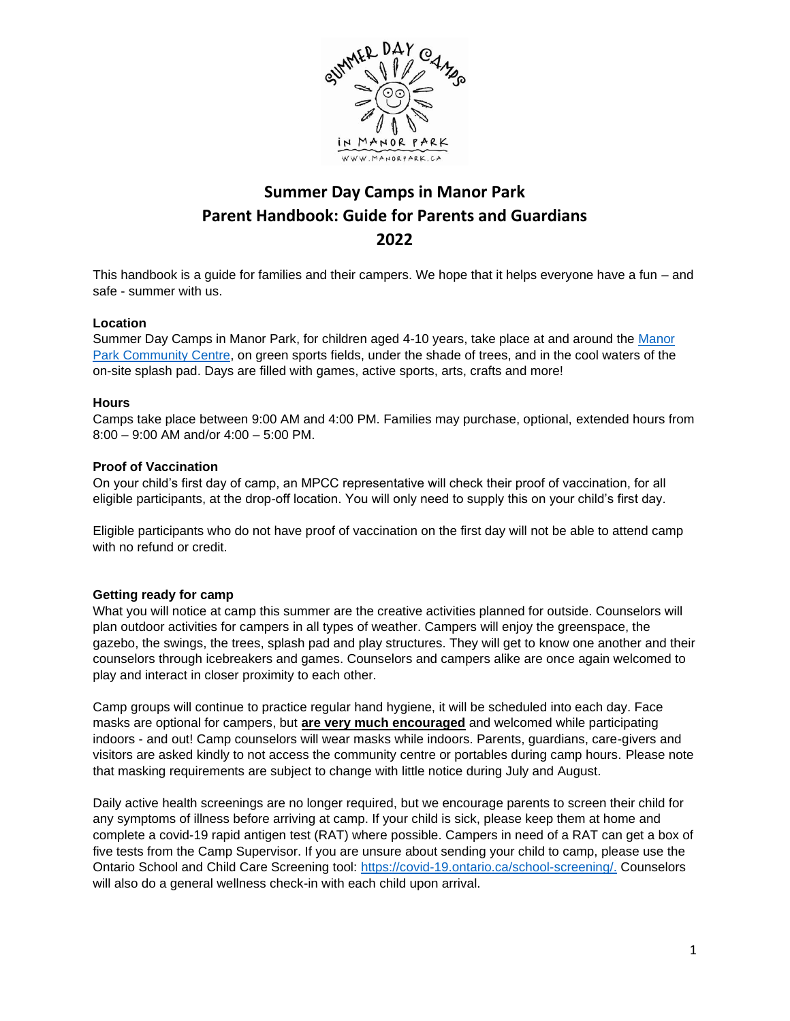

# **Summer Day Camps in Manor Park Parent Handbook: Guide for Parents and Guardians 2022**

This handbook is a guide for families and their campers. We hope that it helps everyone have a fun – and safe - summer with us.

#### **Location**

Summer Day Camps in Manor Park, for children aged 4-10 years, take place at and around the [Manor](http://manorpark.ca/contact)  [Park Community Centre,](http://manorpark.ca/contact) on green sports fields, under the shade of trees, and in the cool waters of the on-site splash pad. Days are filled with games, active sports, arts, crafts and more!

#### **Hours**

Camps take place between 9:00 AM and 4:00 PM. Families may purchase, optional, extended hours from 8:00 – 9:00 AM and/or 4:00 – 5:00 PM.

#### **Proof of Vaccination**

On your child's first day of camp, an MPCC representative will check their proof of vaccination, for all eligible participants, at the drop-off location. You will only need to supply this on your child's first day.

Eligible participants who do not have proof of vaccination on the first day will not be able to attend camp with no refund or credit.

#### **Getting ready for camp**

What you will notice at camp this summer are the creative activities planned for outside. Counselors will plan outdoor activities for campers in all types of weather. Campers will enjoy the greenspace, the gazebo, the swings, the trees, splash pad and play structures. They will get to know one another and their counselors through icebreakers and games. Counselors and campers alike are once again welcomed to play and interact in closer proximity to each other.

Camp groups will continue to practice regular hand hygiene, it will be scheduled into each day. Face masks are optional for campers, but **are very much encouraged** and welcomed while participating indoors - and out! Camp counselors will wear masks while indoors. Parents, guardians, care-givers and visitors are asked kindly to not access the community centre or portables during camp hours. Please note that masking requirements are subject to change with little notice during July and August.

Daily active health screenings are no longer required, but we encourage parents to screen their child for any symptoms of illness before arriving at camp. If your child is sick, please keep them at home and complete a covid-19 rapid antigen test (RAT) where possible. Campers in need of a RAT can get a box of five tests from the Camp Supervisor. If you are unsure about sending your child to camp, please use the Ontario School and Child Care Screening tool: [https://covid-19.ontario.ca/school-screening/.](https://covid-19.ontario.ca/school-screening/) Counselors will also do a general wellness check-in with each child upon arrival.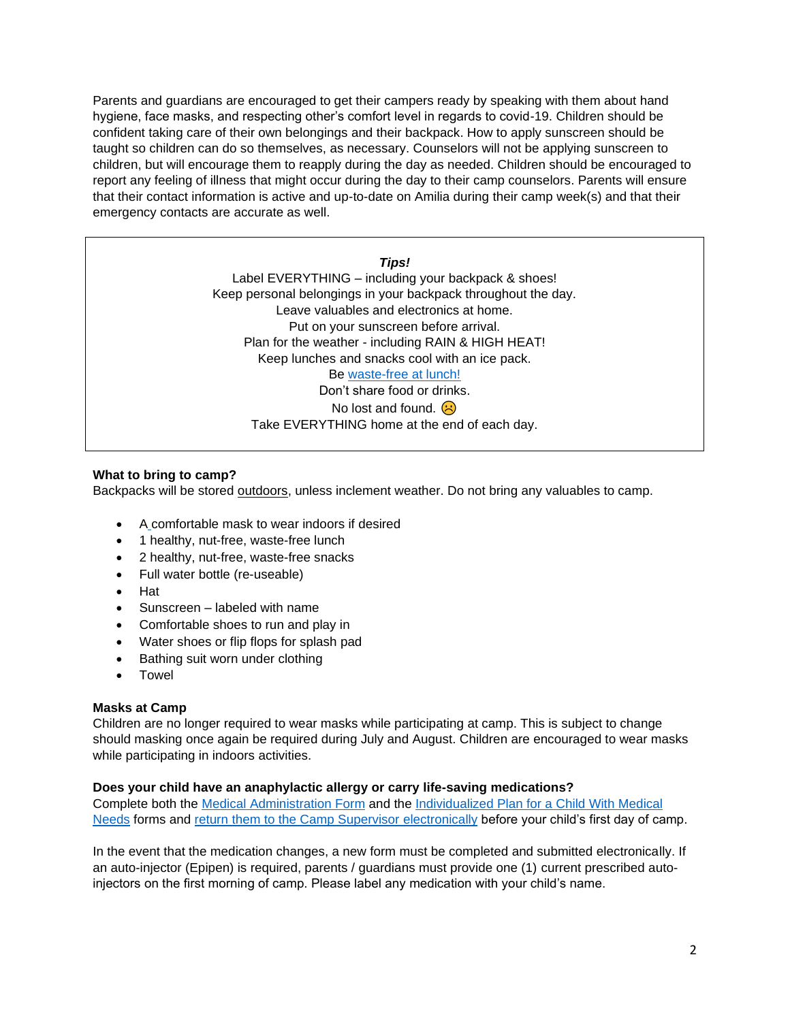Parents and guardians are encouraged to get their campers ready by speaking with them about hand hygiene, face masks, and respecting other's comfort level in regards to covid-19. Children should be confident taking care of their own belongings and their backpack. How to apply sunscreen should be taught so children can do so themselves, as necessary. Counselors will not be applying sunscreen to children, but will encourage them to reapply during the day as needed. Children should be encouraged to report any feeling of illness that might occur during the day to their camp counselors. Parents will ensure that their contact information is active and up-to-date on Amilia during their camp week(s) and that their emergency contacts are accurate as well.

*Tips!*

Label EVERYTHING – including your backpack & shoes! Keep personal belongings in your backpack throughout the day. Leave valuables and electronics at home. Put on your sunscreen before arrival. Plan for the weather - including RAIN & HIGH HEAT! Keep lunches and snacks cool with an ice pack. Be [waste-free at lunch!](http://manorpark.ca/summer-day-camps-content-2021) Don't share food or drinks. No lost and found.  $\circledR$ Take EVERYTHING home at the end of each day.

## **What to bring to camp?**

Backpacks will be stored outdoors, unless inclement weather. Do not bring any valuables to camp.

- A comfortable mask to wear indoors if desired
- 1 healthy, nut-free, waste-free lunch
- 2 healthy, nut-free, waste-free snacks
- Full water bottle (re-useable)
- Hat
- Sunscreen labeled with name
- Comfortable shoes to run and play in
- Water shoes or flip flops for splash pad
- Bathing suit worn under clothing
- Towel

#### **Masks at Camp**

Children are no longer required to wear masks while participating at camp. This is subject to change should masking once again be required during July and August. Children are encouraged to wear masks while participating in indoors activities.

## **Does your child have an anaphylactic allergy or carry life-saving medications?**

Complete both the [Medical Administration Form](http://manorpark.ca/sites/default/files/manor_park/5%20-%20Anaphylaxis-Emergency-Plan-with-EpiPen-instructions_a.pdf) and the [Individualized Plan for a Child With Medical](http://manorpark.ca/sites/default/files/manor_park/4%20-%202018-2019%20Individual%20Plan%20for%20Child%20with%20Med%20Concern%20-%20MArch%202018.pdf)  [Needs](http://manorpark.ca/sites/default/files/manor_park/4%20-%202018-2019%20Individual%20Plan%20for%20Child%20with%20Med%20Concern%20-%20MArch%202018.pdf) forms and [return them to the Camp Supervisor electronically](mailto:ssears@manorpark.ca?subject=Completed%20Medication%20Form) before your child's first day of camp.

In the event that the medication changes, a new form must be completed and submitted electronically. If an auto-injector (Epipen) is required, parents / guardians must provide one (1) current prescribed autoinjectors on the first morning of camp. Please label any medication with your child's name.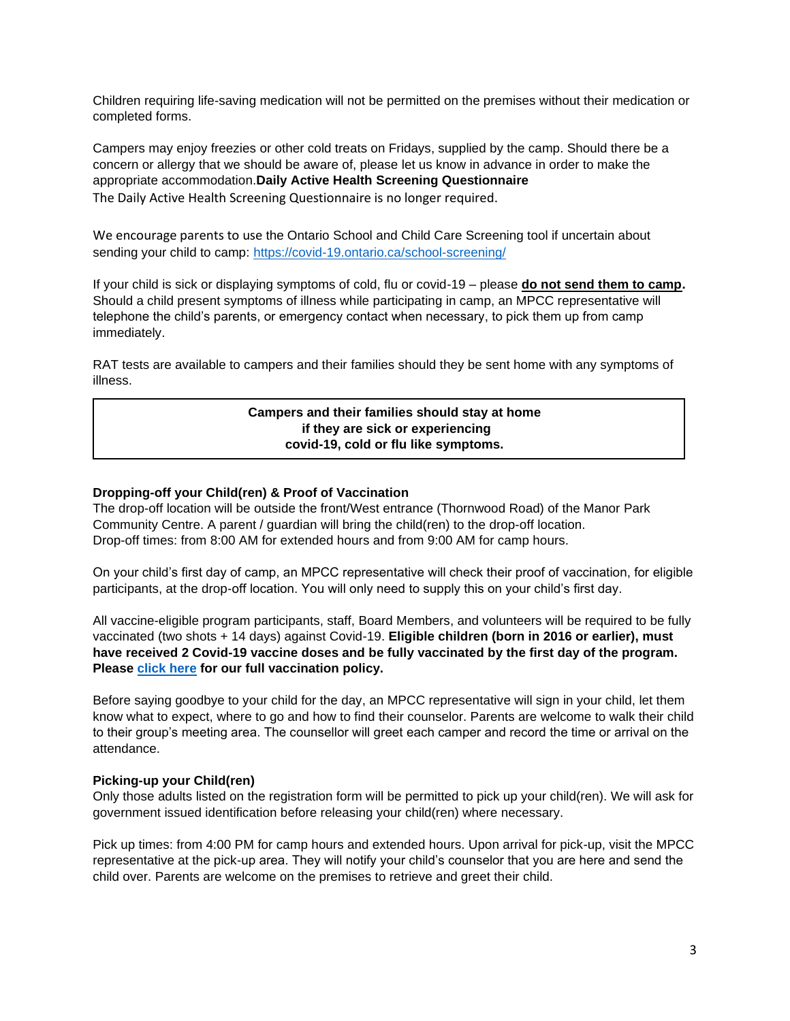Children requiring life-saving medication will not be permitted on the premises without their medication or completed forms.

Campers may enjoy freezies or other cold treats on Fridays, supplied by the camp. Should there be a concern or allergy that we should be aware of, please let us know in advance in order to make the appropriate accommodation.**Daily Active Health Screening Questionnaire** The Daily Active Health Screening Questionnaire is no longer required.

We encourage parents to use the Ontario School and Child Care Screening tool if uncertain about sending your child to camp:<https://covid-19.ontario.ca/school-screening/>

If your child is sick or displaying symptoms of cold, flu or covid-19 – please **do not send them to camp.**  Should a child present symptoms of illness while participating in camp, an MPCC representative will telephone the child's parents, or emergency contact when necessary, to pick them up from camp immediately.

RAT tests are available to campers and their families should they be sent home with any symptoms of illness.

## **Campers and their families should stay at home if they are sick or experiencing covid-19, cold or flu like symptoms.**

## **Dropping-off your Child(ren) & Proof of Vaccination**

The drop-off location will be outside the front/West entrance (Thornwood Road) of the Manor Park Community Centre. A parent / guardian will bring the child(ren) to the drop-off location. Drop-off times: from 8:00 AM for extended hours and from 9:00 AM for camp hours.

On your child's first day of camp, an MPCC representative will check their proof of vaccination, for eligible participants, at the drop-off location. You will only need to supply this on your child's first day.

All vaccine-eligible program participants, staff, Board Members, and volunteers will be required to be fully vaccinated (two shots + 14 days) against Covid-19. **Eligible children (born in 2016 or earlier), must have received 2 Covid-19 vaccine doses and be fully vaccinated by the first day of the program. Please [click here](http://manorpark.ca/sites/default/files/manor_park/Covid-19%20-%20Mandatory%20Vaccination%20Policy%20%28updated%20Apr27%202022%29.pdf) for our full vaccination policy.** 

Before saying goodbye to your child for the day, an MPCC representative will sign in your child, let them know what to expect, where to go and how to find their counselor. Parents are welcome to walk their child to their group's meeting area. The counsellor will greet each camper and record the time or arrival on the attendance.

#### **Picking-up your Child(ren)**

Only those adults listed on the registration form will be permitted to pick up your child(ren). We will ask for government issued identification before releasing your child(ren) where necessary.

Pick up times: from 4:00 PM for camp hours and extended hours. Upon arrival for pick-up, visit the MPCC representative at the pick-up area. They will notify your child's counselor that you are here and send the child over. Parents are welcome on the premises to retrieve and greet their child.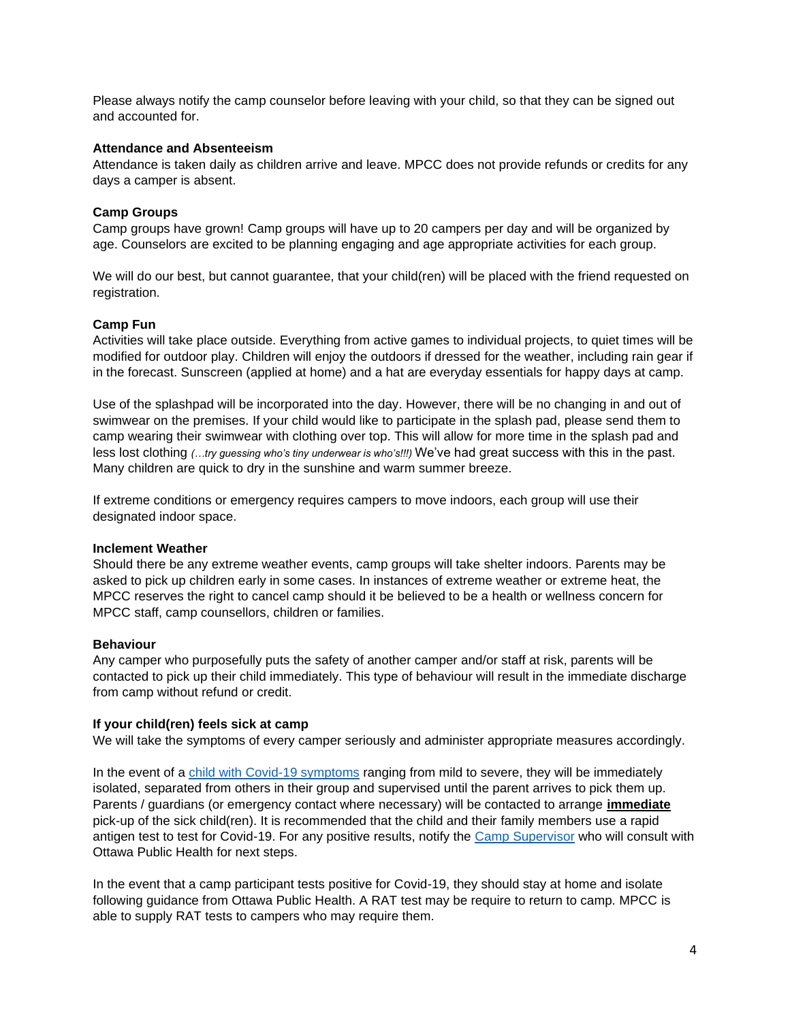Please always notify the camp counselor before leaving with your child, so that they can be signed out and accounted for.

### **Attendance and Absenteeism**

Attendance is taken daily as children arrive and leave. MPCC does not provide refunds or credits for any days a camper is absent.

## **Camp Groups**

Camp groups have grown! Camp groups will have up to 20 campers per day and will be organized by age. Counselors are excited to be planning engaging and age appropriate activities for each group.

We will do our best, but cannot guarantee, that your child(ren) will be placed with the friend requested on registration.

#### **Camp Fun**

Activities will take place outside. Everything from active games to individual projects, to quiet times will be modified for outdoor play. Children will enjoy the outdoors if dressed for the weather, including rain gear if in the forecast. Sunscreen (applied at home) and a hat are everyday essentials for happy days at camp.

Use of the splashpad will be incorporated into the day. However, there will be no changing in and out of swimwear on the premises. If your child would like to participate in the splash pad, please send them to camp wearing their swimwear with clothing over top. This will allow for more time in the splash pad and less lost clothing *(…try guessing who's tiny underwear is who's!!!)* We've had great success with this in the past. Many children are quick to dry in the sunshine and warm summer breeze.

If extreme conditions or emergency requires campers to move indoors, each group will use their designated indoor space.

#### **Inclement Weather**

Should there be any extreme weather events, camp groups will take shelter indoors. Parents may be asked to pick up children early in some cases. In instances of extreme weather or extreme heat, the MPCC reserves the right to cancel camp should it be believed to be a health or wellness concern for MPCC staff, camp counsellors, children or families.

#### **Behaviour**

Any camper who purposefully puts the safety of another camper and/or staff at risk, parents will be contacted to pick up their child immediately. This type of behaviour will result in the immediate discharge from camp without refund or credit.

#### **If your child(ren) feels sick at camp**

We will take the symptoms of every camper seriously and administer appropriate measures accordingly.

In the event of a [child with Covid-19 symptoms](https://www.cdc.gov/coronavirus/2019-ncov/daily-life-coping/children/symptoms.html#children-teens) ranging from mild to severe, they will be immediately isolated, separated from others in their group and supervised until the parent arrives to pick them up. Parents / guardians (or emergency contact where necessary) will be contacted to arrange **immediate** pick-up of the sick child(ren). It is recommended that the child and their family members use a rapid antigen test to test for Covid-19. For any positive results, notify the [Camp Supervisor](mailto:ssears@manorpark.ca) who will consult with Ottawa Public Health for next steps.

In the event that a camp participant tests positive for Covid-19, they should stay at home and isolate following guidance from Ottawa Public Health. A RAT test may be require to return to camp. MPCC is able to supply RAT tests to campers who may require them.